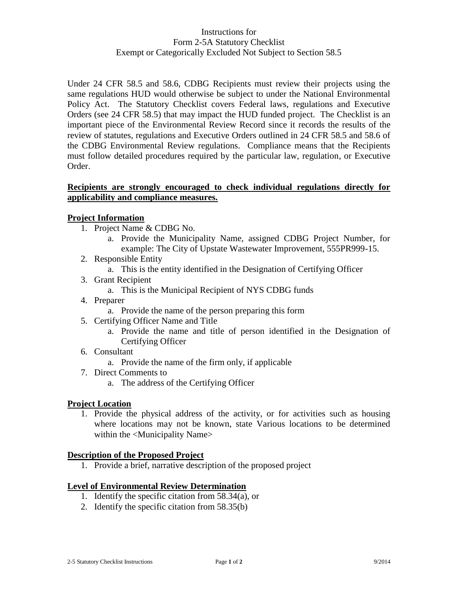# Instructions for Form 2-5A Statutory Checklist Exempt or Categorically Excluded Not Subject to Section 58.5

Under 24 CFR 58.5 and 58.6, CDBG Recipients must review their projects using the same regulations HUD would otherwise be subject to under the National Environmental Policy Act. The Statutory Checklist covers Federal laws, regulations and Executive Orders (see 24 CFR 58.5) that may impact the HUD funded project. The Checklist is an important piece of the Environmental Review Record since it records the results of the review of statutes, regulations and Executive Orders outlined in 24 CFR 58.5 and 58.6 of the CDBG Environmental Review regulations. Compliance means that the Recipients must follow detailed procedures required by the particular law, regulation, or Executive Order.

### **Recipients are strongly encouraged to check individual regulations directly for applicability and compliance measures.**

# **Project Information**

- 1. Project Name & CDBG No.
	- a. Provide the Municipality Name, assigned CDBG Project Number, for example: The City of Upstate Wastewater Improvement, 555PR999-15.
- 2. Responsible Entity
	- a. This is the entity identified in the Designation of Certifying Officer
- 3. Grant Recipient
	- a. This is the Municipal Recipient of NYS CDBG funds
- 4. Preparer
	- a. Provide the name of the person preparing this form
- 5. Certifying Officer Name and Title
	- a. Provide the name and title of person identified in the Designation of Certifying Officer
- 6. Consultant
	- a. Provide the name of the firm only, if applicable
- 7. Direct Comments to
	- a. The address of the Certifying Officer

### **Project Location**

1. Provide the physical address of the activity, or for activities such as housing where locations may not be known, state Various locations to be determined within the <Municipality Name>

#### **Description of the Proposed Project**

1. Provide a brief, narrative description of the proposed project

#### **Level of Environmental Review Determination**

- 1. Identify the specific citation from 58.34(a), or
- 2. Identify the specific citation from 58.35(b)